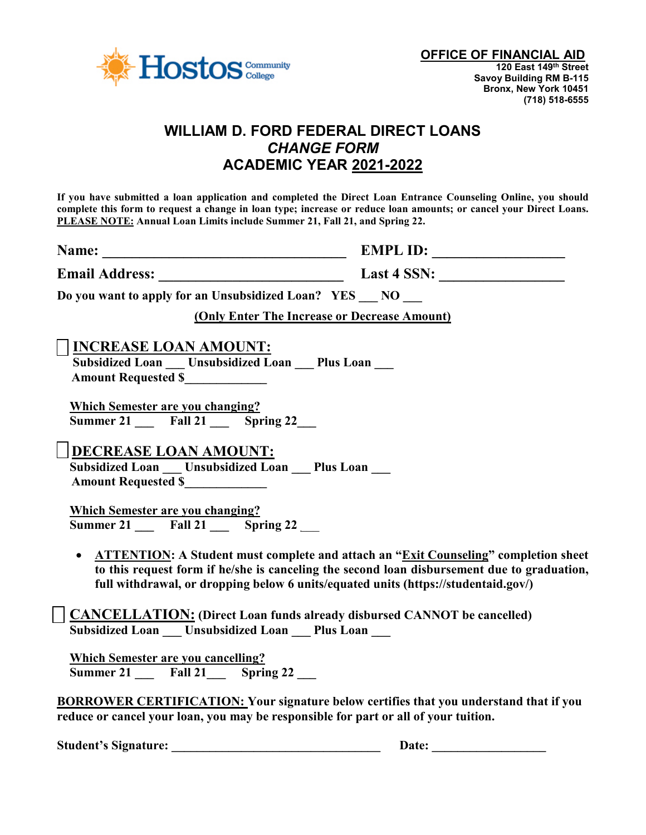

# **WILLIAM D. FORD FEDERAL DIRECT LOANS** *CHANGE FORM* **ACADEMIC YEAR 2021-2022**

**If you have submitted a loan application and completed the Direct Loan Entrance Counseling Online, you should complete this form to request a change in loan type; increase or reduce loan amounts; or cancel your Direct Loans. PLEASE NOTE: Annual Loan Limits include Summer 21, Fall 21, and Spring 22.** 

**Name: \_\_\_\_\_\_\_\_\_\_\_\_\_\_\_\_\_\_\_\_\_\_\_\_\_\_\_\_\_\_\_\_\_ EMPL ID: \_\_\_\_\_\_\_\_\_\_\_\_\_\_\_\_\_\_**

**Email Address: \_\_\_\_\_\_\_\_\_\_\_\_\_\_\_\_\_\_\_\_\_\_\_\_\_ Last 4 SSN: \_\_\_\_\_\_\_\_\_\_\_\_\_\_\_\_\_**

**Do you want to apply for an Unsubsidized Loan? YES \_\_\_ NO \_\_\_** 

**(Only Enter The Increase or Decrease Amount)**

## **INCREASE LOAN AMOUNT:**

**Subsidized Loan Unsubsidized Loan** Plus Loan  **Amount Requested \$\_\_\_\_\_\_\_\_\_\_\_\_\_** 

 **Which Semester are you changing? Summer 21 Fall 21 Spring 22** 

**DECREASE LOAN AMOUNT:**

**Subsidized Loan Linsubsidized Loan Plus Loan Amount Requested \$\_\_\_\_\_\_\_\_\_\_\_\_\_** 

 **Which Semester are you changing? Summer 21 Fall 21 Spring 22** 

• **ATTENTION: A Student must complete and attach an "Exit Counseling" completion sheet to this request form if he/she is canceling the second loan disbursement due to graduation, full withdrawal, or dropping below 6 units/equated units (https://studentaid.gov/)** 

 **CANCELLATION: (Direct Loan funds already disbursed CANNOT be cancelled) Subsidized Loan \_\_\_ Unsubsidized Loan \_\_\_ Plus Loan \_\_\_** 

 **Which Semester are you cancelling? Summer 21** Fall 21 Spring 22

**BORROWER CERTIFICATION: Your signature below certifies that you understand that if you reduce or cancel your loan, you may be responsible for part or all of your tuition.** 

**Student's Signature: \_\_\_\_\_\_\_\_\_\_\_\_\_\_\_\_\_\_\_\_\_\_\_\_\_\_\_\_\_\_\_\_\_ Date: \_\_\_\_\_\_\_\_\_\_\_\_\_\_\_\_\_\_**